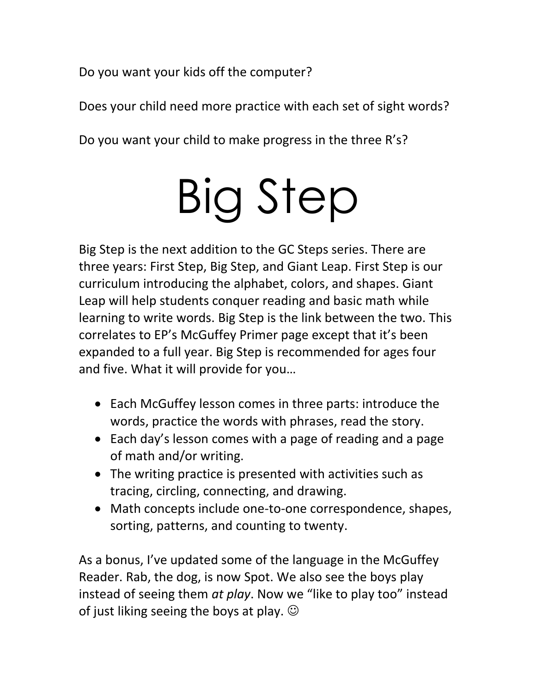Do you want your kids off the computer?

Does your child need more practice with each set of sight words?

Do you want your child to make progress in the three R's?

# Big Step

Big Step is the next addition to the GC Steps series. There are three years: First Step, Big Step, and Giant Leap. First Step is our curriculum introducing the alphabet, colors, and shapes. Giant Leap will help students conquer reading and basic math while learning to write words. Big Step is the link between the two. This correlates to EP's McGuffey Primer page except that it's been expanded to a full year. Big Step is recommended for ages four and five. What it will provide for you…

- Each McGuffey lesson comes in three parts: introduce the words, practice the words with phrases, read the story.
- Each day's lesson comes with a page of reading and a page of math and/or writing.
- The writing practice is presented with activities such as tracing, circling, connecting, and drawing.
- Math concepts include one-to-one correspondence, shapes, sorting, patterns, and counting to twenty.

As a bonus, I've updated some of the language in the McGuffey Reader. Rab, the dog, is now Spot. We also see the boys play instead of seeing them *at play*. Now we "like to play too" instead of just liking seeing the boys at play.  $\odot$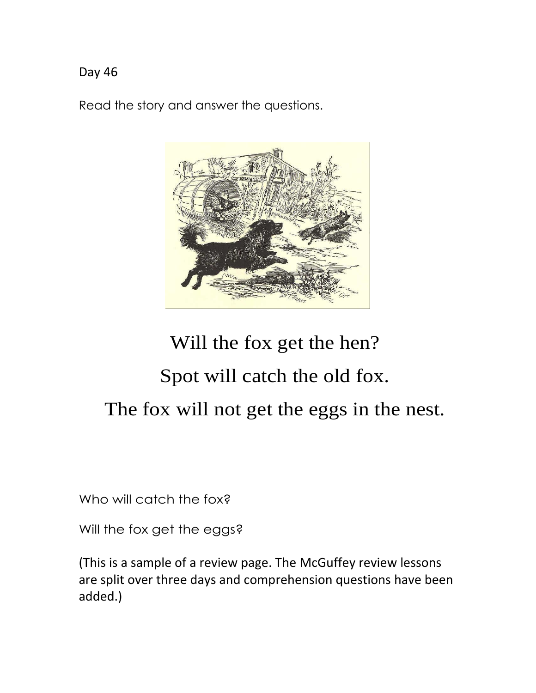Read the story and answer the questions.



## Will the fox get the hen? Spot will catch the old fox. The fox will not get the eggs in the nest.

Who will catch the fox?

Will the fox get the eggs?

(This is a sample of a review page. The McGuffey review lessons are split over three days and comprehension questions have been added.)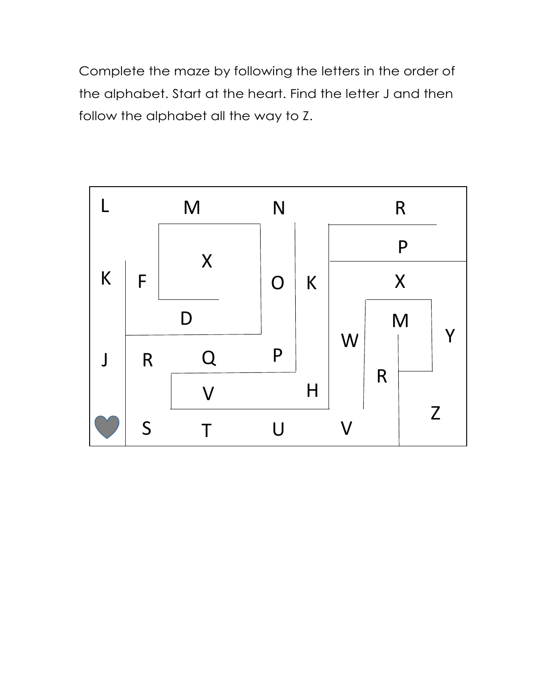Complete the maze by following the letters in the order of the alphabet. Start at the heart. Find the letter J and then follow the alphabet all the way to Z.

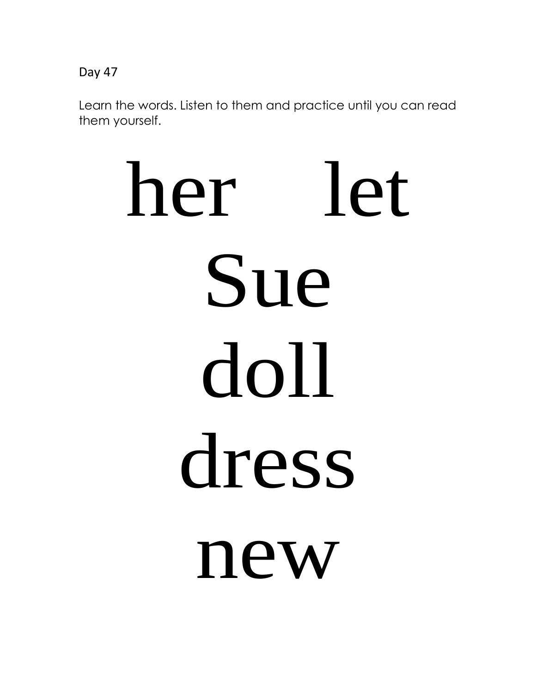Learn the words. Listen to them and practice until you can read them yourself.

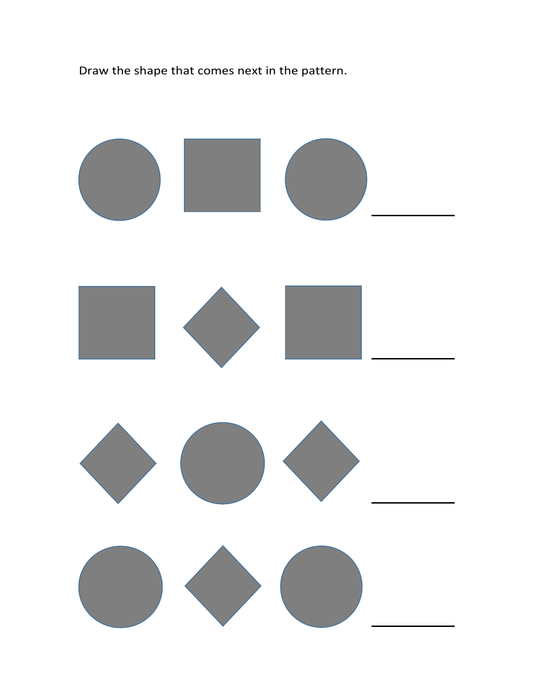Draw the shape that comes next in the pattern.

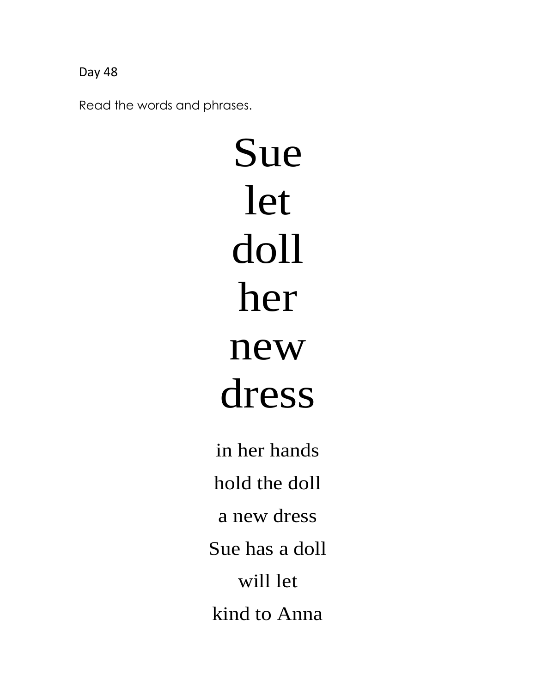Read the words and phrases.

Sue let doll her new dress

in her hands hold the doll a new dress Sue has a doll will let kind to Anna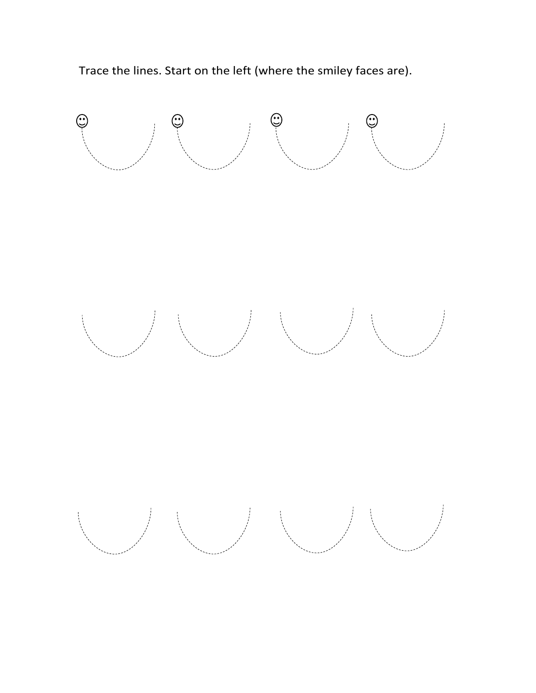

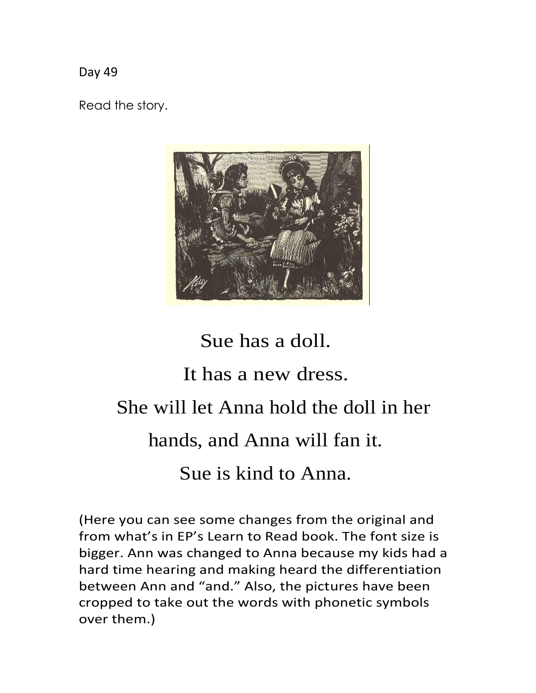Read the story.



#### Sue has a doll.

#### It has a new dress.

#### She will let Anna hold the doll in her

#### hands, and Anna will fan it.

#### Sue is kind to Anna.

(Here you can see some changes from the original and from what's in EP's Learn to Read book. The font size is bigger. Ann was changed to Anna because my kids had a hard time hearing and making heard the differentiation between Ann and "and." Also, the pictures have been cropped to take out the words with phonetic symbols over them.)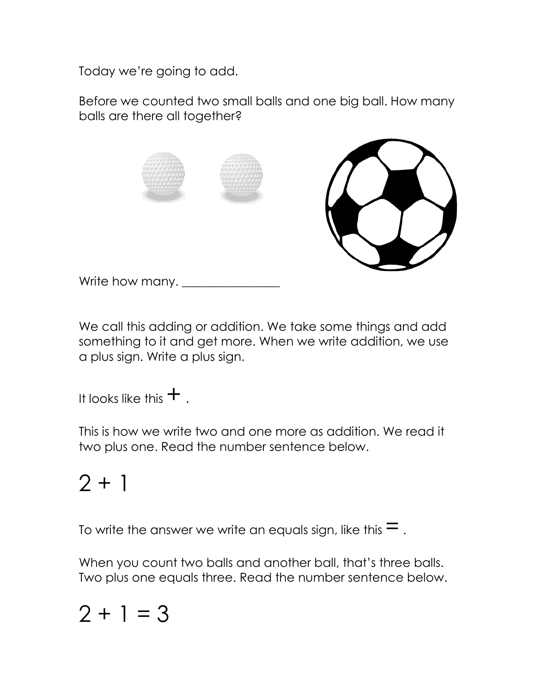Today we're going to add.

Before we counted two small balls and one big ball. How many balls are there all together?



Write how many. \_\_\_\_\_\_\_\_\_\_\_\_\_\_\_\_

We call this adding or addition. We take some things and add something to it and get more. When we write addition, we use a plus sign. Write a plus sign.

It looks like this  $+$ .

This is how we write two and one more as addition. We read it two plus one. Read the number sentence below.

## $2 + 1$

To write the answer we write an equals sign, like this  $=$ .

When you count two balls and another ball, that's three balls. Two plus one equals three. Read the number sentence below.

### $2 + 1 = 3$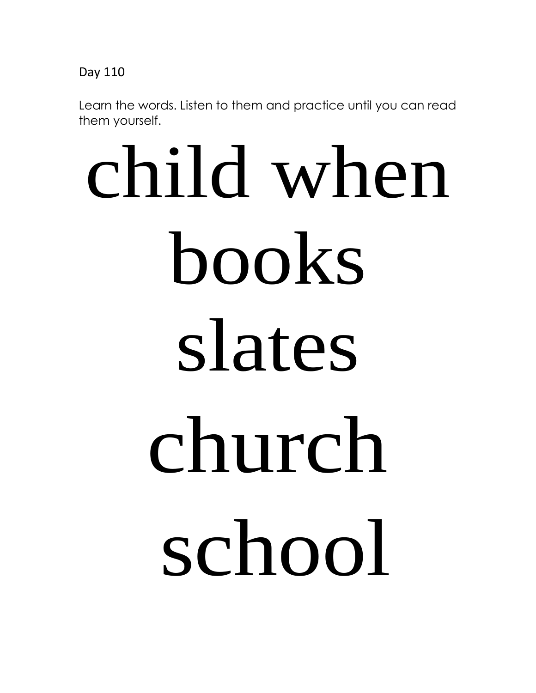Learn the words. Listen to them and practice until you can read them yourself.

# child when books slates church school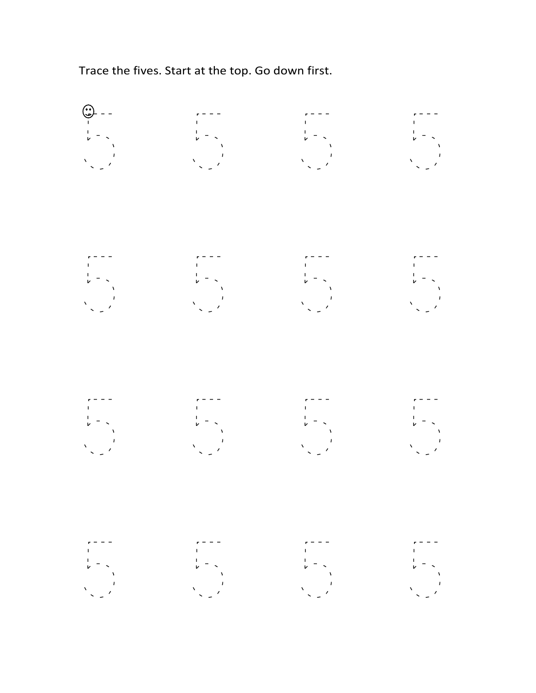Trace the fives. Start at the top. Go down first.

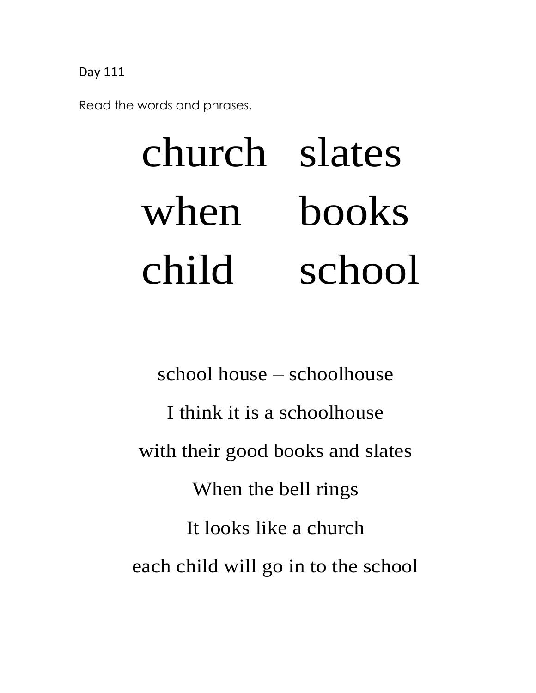Read the words and phrases.

# church slates when books child school

school house – schoolhouse I think it is a schoolhouse with their good books and slates When the bell rings It looks like a church each child will go in to the school